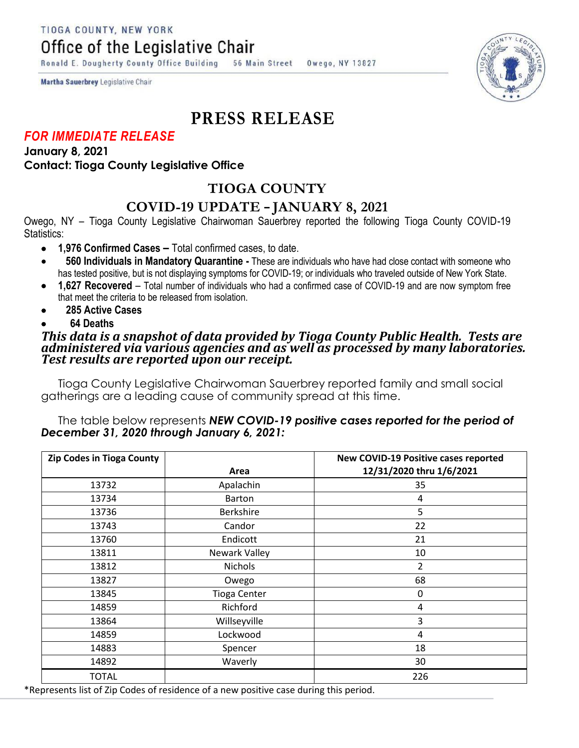TIOGA COUNTY, NEW YORK

Office of the Legislative Chair

Ronald E. Dougherty County Office Building 56 Main Street Owego, NY 13827

Martha Sauerbrey Legislative Chair

# **PRESS RELEASE**

### *FOR IMMEDIATE RELEASE*

**January 8, 2021 Contact: Tioga County Legislative Office**

## **TIOGA COUNTY**

### **COVID-19 UPDATE – JANUARY 8, 2021**

Owego, NY – Tioga County Legislative Chairwoman Sauerbrey reported the following Tioga County COVID-19 Statistics:

- **1,976 Confirmed Cases –** Total confirmed cases, to date.
- **560 Individuals in Mandatory Quarantine -** These are individuals who have had close contact with someone who has tested positive, but is not displaying symptoms for COVID-19; or individuals who traveled outside of New York State.
- **1,627 Recovered**  Total number of individuals who had a confirmed case of COVID-19 and are now symptom free that meet the criteria to be released from isolation.
- **285 Active Cases**
- **64 Deaths**

#### *This data is a snapshot of data provided by Tioga County Public Health. Tests are administered via various agencies and as well as processed by many laboratories. Test results are reported upon our receipt.*

Tioga County Legislative Chairwoman Sauerbrey reported family and small social gatherings are a leading cause of community spread at this time.

#### The table below represents *NEW COVID-19 positive cases reported for the period of December 31, 2020 through January 6, 2021:*

| <b>Zip Codes in Tioga County</b> | Area                | New COVID-19 Positive cases reported<br>12/31/2020 thru 1/6/2021 |
|----------------------------------|---------------------|------------------------------------------------------------------|
| 13732                            | Apalachin           | 35                                                               |
| 13734                            | <b>Barton</b>       | 4                                                                |
| 13736                            | <b>Berkshire</b>    | 5                                                                |
| 13743                            | Candor              | 22                                                               |
| 13760                            | Endicott            | 21                                                               |
| 13811                            | Newark Valley       | 10                                                               |
| 13812                            | <b>Nichols</b>      | 2                                                                |
| 13827                            | Owego               | 68                                                               |
| 13845                            | <b>Tioga Center</b> | 0                                                                |
| 14859                            | Richford            | 4                                                                |
| 13864                            | Willseyville        | 3                                                                |
| 14859                            | Lockwood            | 4                                                                |
| 14883                            | Spencer             | 18                                                               |
| 14892                            | Waverly             | 30                                                               |
| <b>TOTAL</b>                     |                     | 226                                                              |

\*Represents list of Zip Codes of residence of a new positive case during this period.